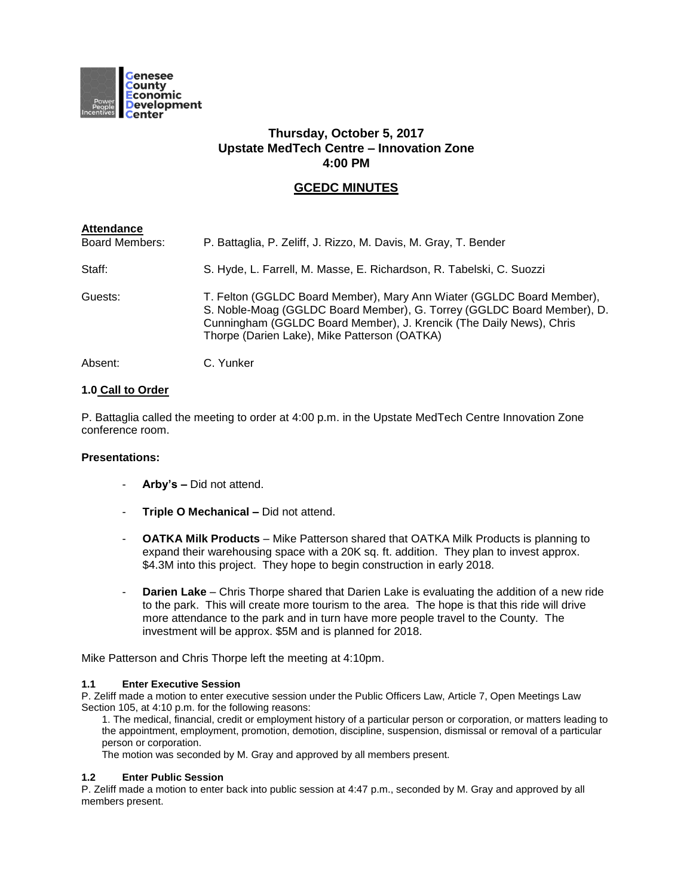

# **Thursday, October 5, 2017 Upstate MedTech Centre – Innovation Zone 4:00 PM**

# **GCEDC MINUTES**

| <b>Attendance</b><br><b>Board Members:</b> | P. Battaglia, P. Zeliff, J. Rizzo, M. Davis, M. Gray, T. Bender                                                                                                                                                                                                        |
|--------------------------------------------|------------------------------------------------------------------------------------------------------------------------------------------------------------------------------------------------------------------------------------------------------------------------|
|                                            |                                                                                                                                                                                                                                                                        |
| Staff:                                     | S. Hyde, L. Farrell, M. Masse, E. Richardson, R. Tabelski, C. Suozzi                                                                                                                                                                                                   |
| Guests:                                    | T. Felton (GGLDC Board Member), Mary Ann Wiater (GGLDC Board Member),<br>S. Noble-Moag (GGLDC Board Member), G. Torrey (GGLDC Board Member), D.<br>Cunningham (GGLDC Board Member), J. Krencik (The Daily News), Chris<br>Thorpe (Darien Lake), Mike Patterson (OATKA) |
| Absent:                                    | C. Yunker                                                                                                                                                                                                                                                              |

### **1.0 Call to Order**

P. Battaglia called the meeting to order at 4:00 p.m. in the Upstate MedTech Centre Innovation Zone conference room.

### **Presentations:**

- **Arby's –** Did not attend.
- **Triple O Mechanical –** Did not attend.
- **OATKA Milk Products** Mike Patterson shared that OATKA Milk Products is planning to expand their warehousing space with a 20K sq. ft. addition. They plan to invest approx. \$4.3M into this project. They hope to begin construction in early 2018.
- **Darien Lake** Chris Thorpe shared that Darien Lake is evaluating the addition of a new ride to the park. This will create more tourism to the area. The hope is that this ride will drive more attendance to the park and in turn have more people travel to the County. The investment will be approx. \$5M and is planned for 2018.

Mike Patterson and Chris Thorpe left the meeting at 4:10pm.

#### **1.1 Enter Executive Session**

P. Zeliff made a motion to enter executive session under the Public Officers Law, Article 7, Open Meetings Law Section 105, at 4:10 p.m. for the following reasons:

1. The medical, financial, credit or employment history of a particular person or corporation, or matters leading to the appointment, employment, promotion, demotion, discipline, suspension, dismissal or removal of a particular person or corporation.

The motion was seconded by M. Gray and approved by all members present.

#### **1.2 Enter Public Session**

P. Zeliff made a motion to enter back into public session at 4:47 p.m., seconded by M. Gray and approved by all members present.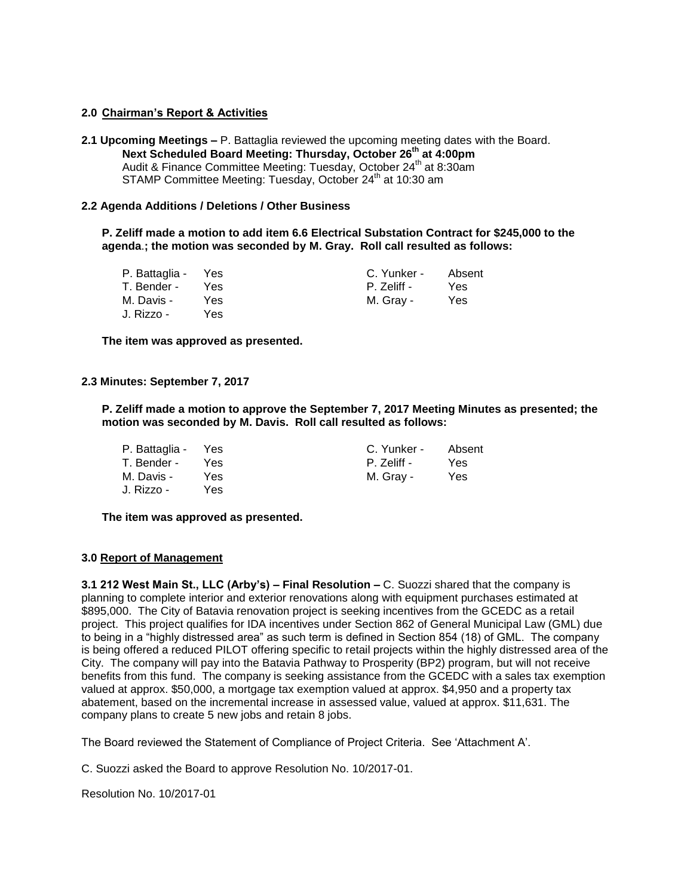### **2.0 Chairman's Report & Activities**

**2.1 Upcoming Meetings –** P. Battaglia reviewed the upcoming meeting dates with the Board. **Next Scheduled Board Meeting: Thursday, October 26th at 4:00pm** Audit & Finance Committee Meeting: Tuesday, October 24<sup>th</sup> at 8:30am STAMP Committee Meeting: Tuesday, October 24<sup>th</sup> at 10:30 am

### **2.2 Agenda Additions / Deletions / Other Business**

**P. Zeliff made a motion to add item 6.6 Electrical Substation Contract for \$245,000 to the agenda**.**; the motion was seconded by M. Gray. Roll call resulted as follows:**

| P. Battaglia - Yes |            | C. Yunker - | Absent |
|--------------------|------------|-------------|--------|
| T. Bender -        | <b>Yes</b> | P. Zeliff - | Yes    |
| M. Davis -         | Yes        | M. Gray -   | Yes    |
| J. Rizzo -         | Yes.       |             |        |

**The item was approved as presented.**

### **2.3 Minutes: September 7, 2017**

**P. Zeliff made a motion to approve the September 7, 2017 Meeting Minutes as presented; the motion was seconded by M. Davis. Roll call resulted as follows:**

J. Rizzo - Yes

P. Battaglia - Yes C. Yunker - Absent T. Bender - Yes **P. Zeliff - Yes** M. Davis - Yes M. Gray - Yes

**The item was approved as presented.**

### **3.0 Report of Management**

**3.1 212 West Main St., LLC (Arby's) – Final Resolution –** C. Suozzi shared that the company is planning to complete interior and exterior renovations along with equipment purchases estimated at \$895,000. The City of Batavia renovation project is seeking incentives from the GCEDC as a retail project. This project qualifies for IDA incentives under Section 862 of General Municipal Law (GML) due to being in a "highly distressed area" as such term is defined in Section 854 (18) of GML. The company is being offered a reduced PILOT offering specific to retail projects within the highly distressed area of the City. The company will pay into the Batavia Pathway to Prosperity (BP2) program, but will not receive benefits from this fund. The company is seeking assistance from the GCEDC with a sales tax exemption valued at approx. \$50,000, a mortgage tax exemption valued at approx. \$4,950 and a property tax abatement, based on the incremental increase in assessed value, valued at approx. \$11,631. The company plans to create 5 new jobs and retain 8 jobs.

The Board reviewed the Statement of Compliance of Project Criteria. See 'Attachment A'.

C. Suozzi asked the Board to approve Resolution No. 10/2017-01.

Resolution No. 10/2017-01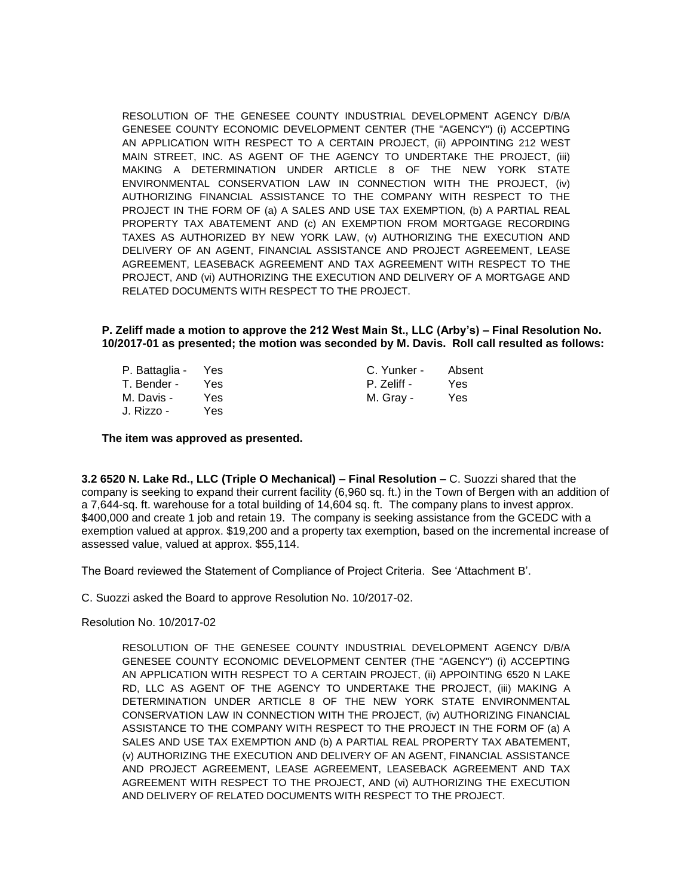RESOLUTION OF THE GENESEE COUNTY INDUSTRIAL DEVELOPMENT AGENCY D/B/A GENESEE COUNTY ECONOMIC DEVELOPMENT CENTER (THE "AGENCY") (i) ACCEPTING AN APPLICATION WITH RESPECT TO A CERTAIN PROJECT, (ii) APPOINTING 212 WEST MAIN STREET, INC. AS AGENT OF THE AGENCY TO UNDERTAKE THE PROJECT, (iii) MAKING A DETERMINATION UNDER ARTICLE 8 OF THE NEW YORK STATE ENVIRONMENTAL CONSERVATION LAW IN CONNECTION WITH THE PROJECT, (iv) AUTHORIZING FINANCIAL ASSISTANCE TO THE COMPANY WITH RESPECT TO THE PROJECT IN THE FORM OF (a) A SALES AND USE TAX EXEMPTION, (b) A PARTIAL REAL PROPERTY TAX ABATEMENT AND (c) AN EXEMPTION FROM MORTGAGE RECORDING TAXES AS AUTHORIZED BY NEW YORK LAW, (v) AUTHORIZING THE EXECUTION AND DELIVERY OF AN AGENT, FINANCIAL ASSISTANCE AND PROJECT AGREEMENT, LEASE AGREEMENT, LEASEBACK AGREEMENT AND TAX AGREEMENT WITH RESPECT TO THE PROJECT, AND (vi) AUTHORIZING THE EXECUTION AND DELIVERY OF A MORTGAGE AND RELATED DOCUMENTS WITH RESPECT TO THE PROJECT.

**P. Zeliff made a motion to approve the 212 West Main St., LLC (Arby's) – Final Resolution No. 10/2017-01 as presented; the motion was seconded by M. Davis. Roll call resulted as follows:**

| P. Battaglia - Yes |      | C. Yunker - | Absent |
|--------------------|------|-------------|--------|
| T. Bender -        | Yes. | P. Zeliff - | Yes    |
| M. Davis -         | Yes. | M. Gray -   | Yes    |
| J. Rizzo -         | Yes. |             |        |

**The item was approved as presented.**

**3.2 6520 N. Lake Rd., LLC (Triple O Mechanical) – Final Resolution –** C. Suozzi shared that the company is seeking to expand their current facility (6,960 sq. ft.) in the Town of Bergen with an addition of a 7,644-sq. ft. warehouse for a total building of 14,604 sq. ft. The company plans to invest approx. \$400,000 and create 1 job and retain 19. The company is seeking assistance from the GCEDC with a exemption valued at approx. \$19,200 and a property tax exemption, based on the incremental increase of assessed value, valued at approx. \$55,114.

The Board reviewed the Statement of Compliance of Project Criteria. See 'Attachment B'.

C. Suozzi asked the Board to approve Resolution No. 10/2017-02.

Resolution No. 10/2017-02

RESOLUTION OF THE GENESEE COUNTY INDUSTRIAL DEVELOPMENT AGENCY D/B/A GENESEE COUNTY ECONOMIC DEVELOPMENT CENTER (THE "AGENCY") (i) ACCEPTING AN APPLICATION WITH RESPECT TO A CERTAIN PROJECT, (ii) APPOINTING 6520 N LAKE RD, LLC AS AGENT OF THE AGENCY TO UNDERTAKE THE PROJECT, (iii) MAKING A DETERMINATION UNDER ARTICLE 8 OF THE NEW YORK STATE ENVIRONMENTAL CONSERVATION LAW IN CONNECTION WITH THE PROJECT, (iv) AUTHORIZING FINANCIAL ASSISTANCE TO THE COMPANY WITH RESPECT TO THE PROJECT IN THE FORM OF (a) A SALES AND USE TAX EXEMPTION AND (b) A PARTIAL REAL PROPERTY TAX ABATEMENT, (v) AUTHORIZING THE EXECUTION AND DELIVERY OF AN AGENT, FINANCIAL ASSISTANCE AND PROJECT AGREEMENT, LEASE AGREEMENT, LEASEBACK AGREEMENT AND TAX AGREEMENT WITH RESPECT TO THE PROJECT, AND (vi) AUTHORIZING THE EXECUTION AND DELIVERY OF RELATED DOCUMENTS WITH RESPECT TO THE PROJECT.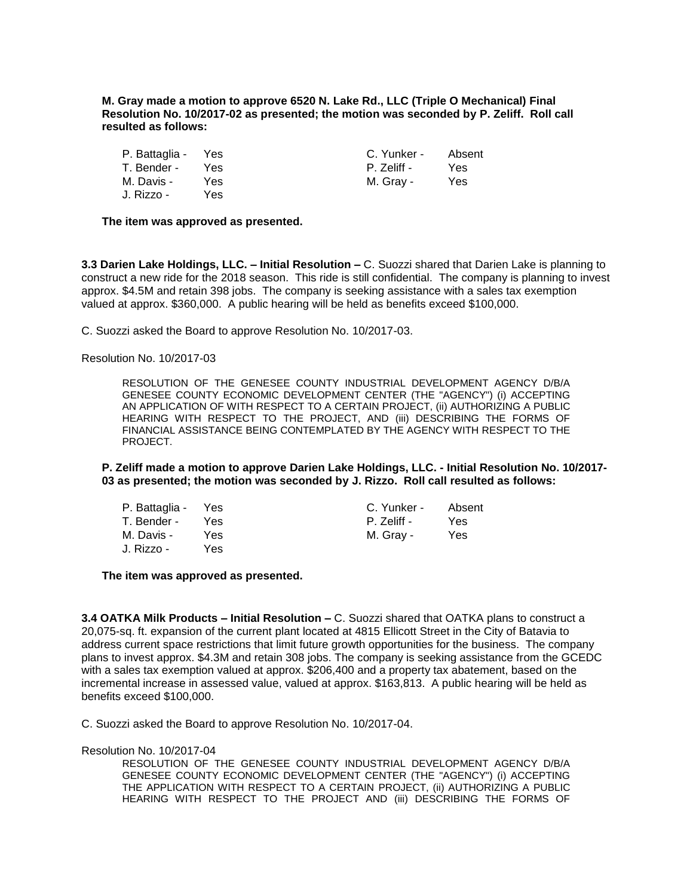**M. Gray made a motion to approve 6520 N. Lake Rd., LLC (Triple O Mechanical) Final Resolution No. 10/2017-02 as presented; the motion was seconded by P. Zeliff. Roll call resulted as follows:**

T. Bender - Yes **P. Zeliff - Yes** M. Davis - Yes M. Gray - Yes J. Rizzo - Yes

P. Battaglia - Yes C. Yunker - Absent

**The item was approved as presented.**

**3.3 Darien Lake Holdings, LLC. – Initial Resolution –** C. Suozzi shared that Darien Lake is planning to construct a new ride for the 2018 season. This ride is still confidential. The company is planning to invest approx. \$4.5M and retain 398 jobs. The company is seeking assistance with a sales tax exemption valued at approx. \$360,000. A public hearing will be held as benefits exceed \$100,000.

C. Suozzi asked the Board to approve Resolution No. 10/2017-03.

Resolution No. 10/2017-03

RESOLUTION OF THE GENESEE COUNTY INDUSTRIAL DEVELOPMENT AGENCY D/B/A GENESEE COUNTY ECONOMIC DEVELOPMENT CENTER (THE "AGENCY") (i) ACCEPTING AN APPLICATION OF WITH RESPECT TO A CERTAIN PROJECT, (ii) AUTHORIZING A PUBLIC HEARING WITH RESPECT TO THE PROJECT, AND (iii) DESCRIBING THE FORMS OF FINANCIAL ASSISTANCE BEING CONTEMPLATED BY THE AGENCY WITH RESPECT TO THE PROJECT.

**P. Zeliff made a motion to approve Darien Lake Holdings, LLC. - Initial Resolution No. 10/2017- 03 as presented; the motion was seconded by J. Rizzo. Roll call resulted as follows:**

| P. Battaglia - Yes |      | C. Yunker - | Absent |
|--------------------|------|-------------|--------|
| T. Bender -        | Yes  | P. Zeliff - | Yes    |
| M. Davis -         | Yes. | M. Grav -   | Yes    |
| J. Rizzo -         | Yes  |             |        |

**The item was approved as presented.**

**3.4 OATKA Milk Products – Initial Resolution –** C. Suozzi shared that OATKA plans to construct a 20,075-sq. ft. expansion of the current plant located at 4815 Ellicott Street in the City of Batavia to address current space restrictions that limit future growth opportunities for the business. The company plans to invest approx. \$4.3M and retain 308 jobs. The company is seeking assistance from the GCEDC with a sales tax exemption valued at approx. \$206,400 and a property tax abatement, based on the incremental increase in assessed value, valued at approx. \$163,813. A public hearing will be held as benefits exceed \$100,000.

C. Suozzi asked the Board to approve Resolution No. 10/2017-04.

Resolution No. 10/2017-04

RESOLUTION OF THE GENESEE COUNTY INDUSTRIAL DEVELOPMENT AGENCY D/B/A GENESEE COUNTY ECONOMIC DEVELOPMENT CENTER (THE "AGENCY") (i) ACCEPTING THE APPLICATION WITH RESPECT TO A CERTAIN PROJECT, (ii) AUTHORIZING A PUBLIC HEARING WITH RESPECT TO THE PROJECT AND (iii) DESCRIBING THE FORMS OF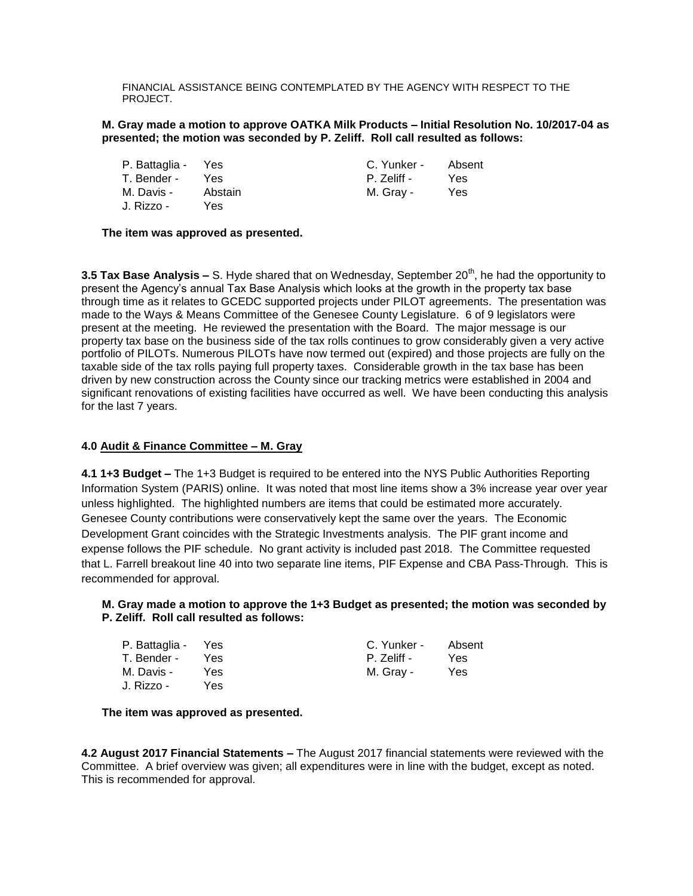FINANCIAL ASSISTANCE BEING CONTEMPLATED BY THE AGENCY WITH RESPECT TO THE PROJECT.

**M. Gray made a motion to approve OATKA Milk Products – Initial Resolution No. 10/2017-04 as presented; the motion was seconded by P. Zeliff. Roll call resulted as follows:**

| P. Battaglia - Yes |         | C. Yunker - | Absent |
|--------------------|---------|-------------|--------|
| T. Bender -        | Yes.    | P. Zeliff - | Yes    |
| M. Davis -         | Abstain | M. Gray -   | Yes    |
| J. Rizzo -         | Yes     |             |        |

### **The item was approved as presented.**

**3.5 Tax Base Analysis –** S. Hyde shared that on Wednesday, September 20<sup>th</sup>, he had the opportunity to present the Agency's annual Tax Base Analysis which looks at the growth in the property tax base through time as it relates to GCEDC supported projects under PILOT agreements. The presentation was made to the Ways & Means Committee of the Genesee County Legislature. 6 of 9 legislators were present at the meeting. He reviewed the presentation with the Board. The major message is our property tax base on the business side of the tax rolls continues to grow considerably given a very active portfolio of PILOTs. Numerous PILOTs have now termed out (expired) and those projects are fully on the taxable side of the tax rolls paying full property taxes. Considerable growth in the tax base has been driven by new construction across the County since our tracking metrics were established in 2004 and significant renovations of existing facilities have occurred as well. We have been conducting this analysis for the last 7 years.

#### **4.0 Audit & Finance Committee – M. Gray**

**4.1 1+3 Budget –** The 1+3 Budget is required to be entered into the NYS Public Authorities Reporting Information System (PARIS) online. It was noted that most line items show a 3% increase year over year unless highlighted. The highlighted numbers are items that could be estimated more accurately. Genesee County contributions were conservatively kept the same over the years. The Economic Development Grant coincides with the Strategic Investments analysis. The PIF grant income and expense follows the PIF schedule. No grant activity is included past 2018. The Committee requested that L. Farrell breakout line 40 into two separate line items, PIF Expense and CBA Pass-Through. This is recommended for approval.

### **M. Gray made a motion to approve the 1+3 Budget as presented; the motion was seconded by P. Zeliff. Roll call resulted as follows:**

| P. Battaglia - Yes |      | C. Yunker - | Absent |
|--------------------|------|-------------|--------|
| T. Bender -        | Yes  | P. Zeliff - | Yes    |
| M. Davis -         | Yes  | M. Gray -   | Yes    |
| J. Rizzo -         | Yes. |             |        |

**The item was approved as presented.**

**4.2 August 2017 Financial Statements –** The August 2017 financial statements were reviewed with the Committee. A brief overview was given; all expenditures were in line with the budget, except as noted. This is recommended for approval.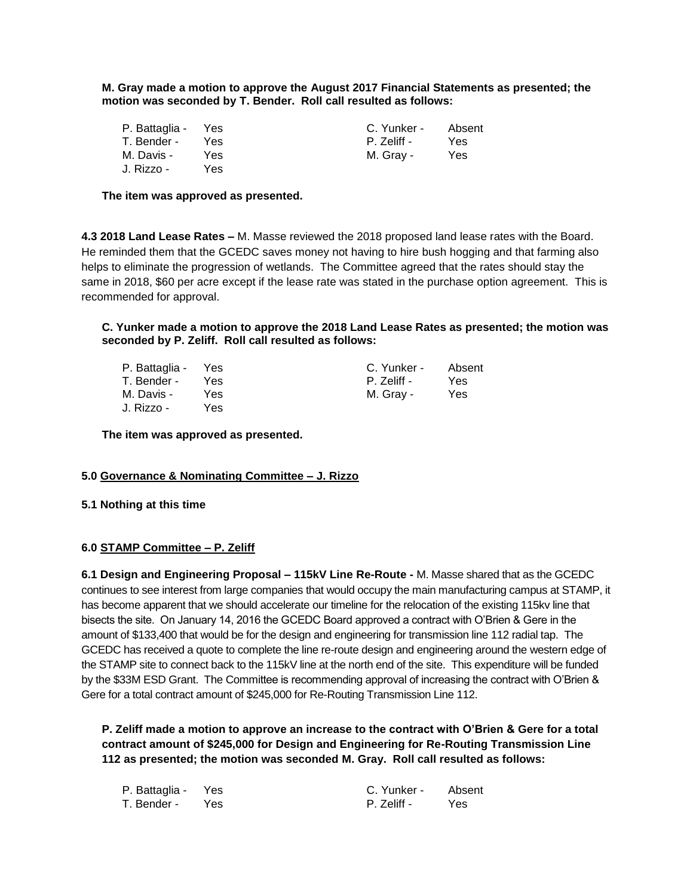**M. Gray made a motion to approve the August 2017 Financial Statements as presented; the motion was seconded by T. Bender. Roll call resulted as follows:**

| P. Battaglia - | Yes  | C. Yunker - | Absent |
|----------------|------|-------------|--------|
| T. Bender -    | Yes. | P. Zeliff - | Yes    |
| M. Davis -     | Yes  | M. Gray -   | Yes    |
| J. Rizzo -     | Yes  |             |        |

**The item was approved as presented.**

**4.3 2018 Land Lease Rates –** M. Masse reviewed the 2018 proposed land lease rates with the Board. He reminded them that the GCEDC saves money not having to hire bush hogging and that farming also helps to eliminate the progression of wetlands. The Committee agreed that the rates should stay the same in 2018, \$60 per acre except if the lease rate was stated in the purchase option agreement. This is recommended for approval.

**C. Yunker made a motion to approve the 2018 Land Lease Rates as presented; the motion was seconded by P. Zeliff. Roll call resulted as follows:**

| P. Battaglia - Yes |      | C. Yunker - | Absent |
|--------------------|------|-------------|--------|
| T. Bender -        | Yes. | P. Zeliff - | Yes    |
| M. Davis -         | Yes. | M. Gray -   | Yes    |
| J. Rizzo -         | Yes. |             |        |

**The item was approved as presented.**

### **5.0 Governance & Nominating Committee – J. Rizzo**

#### **5.1 Nothing at this time**

### **6.0 STAMP Committee – P. Zeliff**

**6.1 Design and Engineering Proposal – 115kV Line Re-Route -** M. Masse shared that as the GCEDC continues to see interest from large companies that would occupy the main manufacturing campus at STAMP, it has become apparent that we should accelerate our timeline for the relocation of the existing 115kv line that bisects the site. On January 14, 2016 the GCEDC Board approved a contract with O'Brien & Gere in the amount of \$133,400 that would be for the design and engineering for transmission line 112 radial tap. The GCEDC has received a quote to complete the line re-route design and engineering around the western edge of the STAMP site to connect back to the 115kV line at the north end of the site. This expenditure will be funded by the \$33M ESD Grant. The Committee is recommending approval of increasing the contract with O'Brien & Gere for a total contract amount of \$245,000 for Re-Routing Transmission Line 112.

**P. Zeliff made a motion to approve an increase to the contract with O'Brien & Gere for a total contract amount of \$245,000 for Design and Engineering for Re-Routing Transmission Line 112 as presented; the motion was seconded M. Gray. Roll call resulted as follows:**

| P. Battaglia - Yes | C. Yunker - | Absent |
|--------------------|-------------|--------|
| T. Bender - Yes    | P. Zeliff - | Yes    |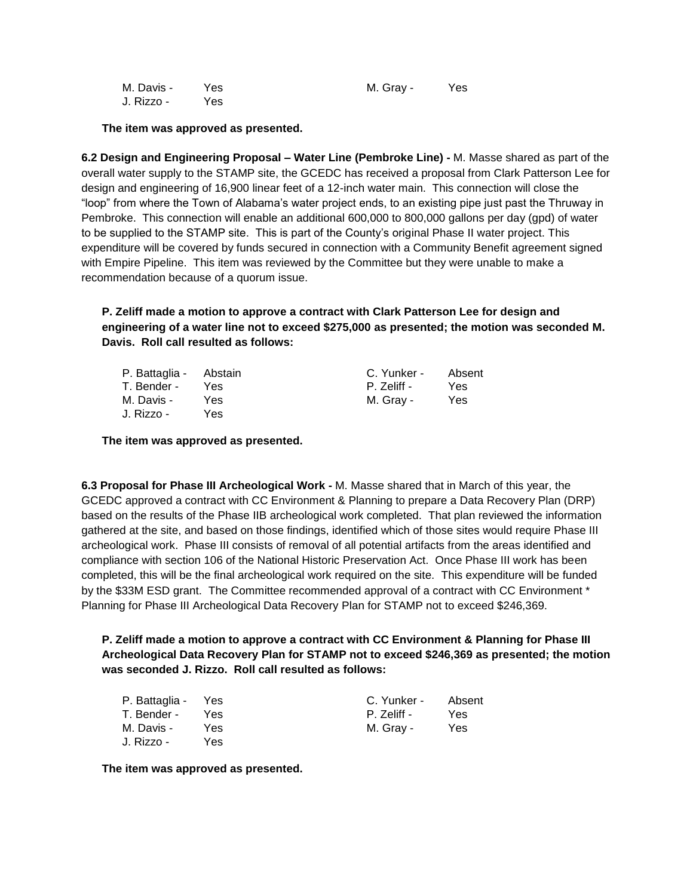| M. Davis - | Yes | M. Gray - | Yes |
|------------|-----|-----------|-----|
| J. Rizzo - | Yes |           |     |

**The item was approved as presented.**

**6.2 Design and Engineering Proposal – Water Line (Pembroke Line) -** M. Masse shared as part of the overall water supply to the STAMP site, the GCEDC has received a proposal from Clark Patterson Lee for design and engineering of 16,900 linear feet of a 12-inch water main. This connection will close the "loop" from where the Town of Alabama's water project ends, to an existing pipe just past the Thruway in Pembroke. This connection will enable an additional 600,000 to 800,000 gallons per day (gpd) of water to be supplied to the STAMP site. This is part of the County's original Phase II water project. This expenditure will be covered by funds secured in connection with a Community Benefit agreement signed with Empire Pipeline. This item was reviewed by the Committee but they were unable to make a recommendation because of a quorum issue.

**P. Zeliff made a motion to approve a contract with Clark Patterson Lee for design and engineering of a water line not to exceed \$275,000 as presented; the motion was seconded M. Davis. Roll call resulted as follows:**

| P. Battaglia - Abstain |      | C. Yunker - | Absent |
|------------------------|------|-------------|--------|
| T. Bender -            | Yes. | P. Zeliff - | Yes    |
| M. Davis -             | Yes. | M. Grav -   | Yes    |
| J. Rizzo -             | Yes  |             |        |

**The item was approved as presented.**

**6.3 Proposal for Phase III Archeological Work -** M. Masse shared that in March of this year, the GCEDC approved a contract with CC Environment & Planning to prepare a Data Recovery Plan (DRP) based on the results of the Phase IIB archeological work completed. That plan reviewed the information gathered at the site, and based on those findings, identified which of those sites would require Phase III archeological work. Phase III consists of removal of all potential artifacts from the areas identified and compliance with section 106 of the National Historic Preservation Act. Once Phase III work has been completed, this will be the final archeological work required on the site. This expenditure will be funded by the \$33M ESD grant. The Committee recommended approval of a contract with CC Environment \* Planning for Phase III Archeological Data Recovery Plan for STAMP not to exceed \$246,369.

**P. Zeliff made a motion to approve a contract with CC Environment & Planning for Phase III Archeological Data Recovery Plan for STAMP not to exceed \$246,369 as presented; the motion was seconded J. Rizzo. Roll call resulted as follows:**

| P. Battaglia - Yes |      | C. Yunker - | Absent |
|--------------------|------|-------------|--------|
| T. Bender -        | Yes. | P. Zeliff - | Yes    |
| M. Davis -         | Yes. | M. Gray -   | Yes    |
| J. Rizzo -         | Yes. |             |        |

**The item was approved as presented.**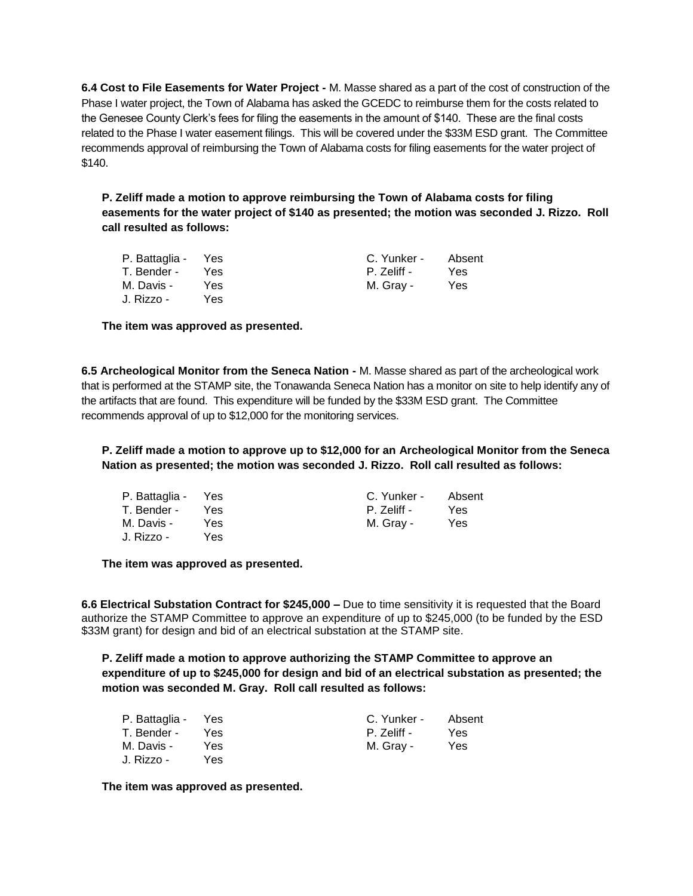**6.4 Cost to File Easements for Water Project -** M. Masse shared as a part of the cost of construction of the Phase I water project, the Town of Alabama has asked the GCEDC to reimburse them for the costs related to the Genesee County Clerk's fees for filing the easements in the amount of \$140. These are the final costs related to the Phase I water easement filings. This will be covered under the \$33M ESD grant. The Committee recommends approval of reimbursing the Town of Alabama costs for filing easements for the water project of \$140.

**P. Zeliff made a motion to approve reimbursing the Town of Alabama costs for filing easements for the water project of \$140 as presented; the motion was seconded J. Rizzo. Roll call resulted as follows:**

| P. Battaglia - Yes |      | C. Yunker - | Absent |
|--------------------|------|-------------|--------|
| T. Bender -        | Yes. | P. Zeliff - | Yes    |
| M. Davis -         | Yes. | M. Gray -   | Yes    |
| J. Rizzo -         | Yes. |             |        |

**The item was approved as presented.**

**6.5 Archeological Monitor from the Seneca Nation -** M. Masse shared as part of the archeological work that is performed at the STAMP site, the Tonawanda Seneca Nation has a monitor on site to help identify any of the artifacts that are found. This expenditure will be funded by the \$33M ESD grant. The Committee recommends approval of up to \$12,000 for the monitoring services.

**P. Zeliff made a motion to approve up to \$12,000 for an Archeological Monitor from the Seneca Nation as presented; the motion was seconded J. Rizzo. Roll call resulted as follows:**

| P. Battaglia - Yes |      | C. Yunker - | Absent |
|--------------------|------|-------------|--------|
| T. Bender -        | Yes. | P. Zeliff - | Yes    |
| M. Davis -         | Yes. | M. Grav -   | Yes    |
| J. Rizzo -         | Yes. |             |        |

**The item was approved as presented.**

**6.6 Electrical Substation Contract for \$245,000 –** Due to time sensitivity it is requested that the Board authorize the STAMP Committee to approve an expenditure of up to \$245,000 (to be funded by the ESD \$33M grant) for design and bid of an electrical substation at the STAMP site.

**P. Zeliff made a motion to approve authorizing the STAMP Committee to approve an expenditure of up to \$245,000 for design and bid of an electrical substation as presented; the motion was seconded M. Gray. Roll call resulted as follows:**

| P. Battaglia - Yes |      | C. Yunker - | Absent |
|--------------------|------|-------------|--------|
| T. Bender -        | Yes. | P. Zeliff - | Yes    |
| M. Davis -         | Yes. | M. Gray -   | Yes    |
| J. Rizzo -         | Yes  |             |        |

**The item was approved as presented.**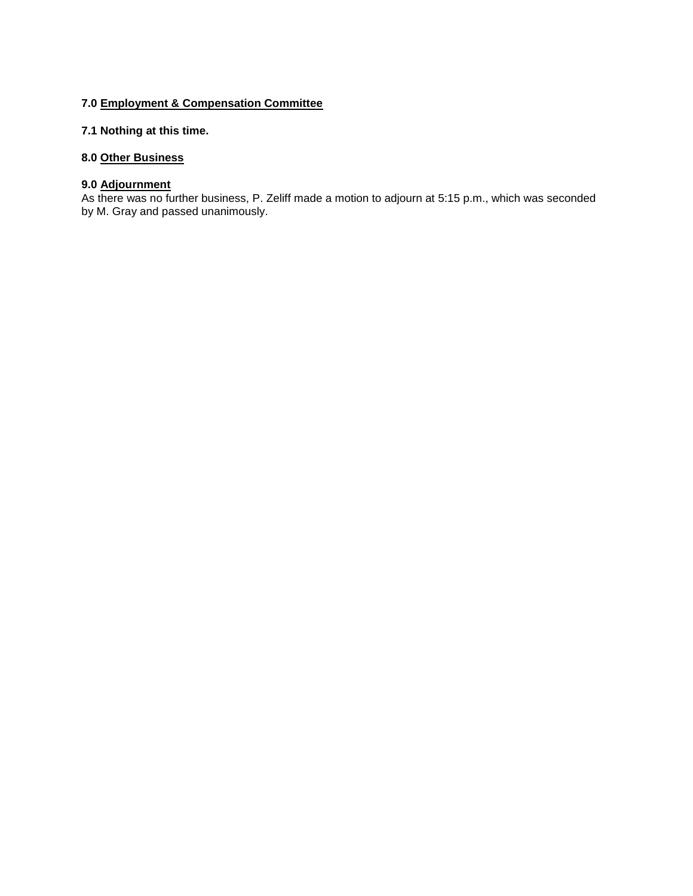## **7.0 Employment & Compensation Committee**

## **7.1 Nothing at this time.**

# **8.0 Other Business**

# **9.0 Adjournment**

As there was no further business, P. Zeliff made a motion to adjourn at 5:15 p.m., which was seconded by M. Gray and passed unanimously.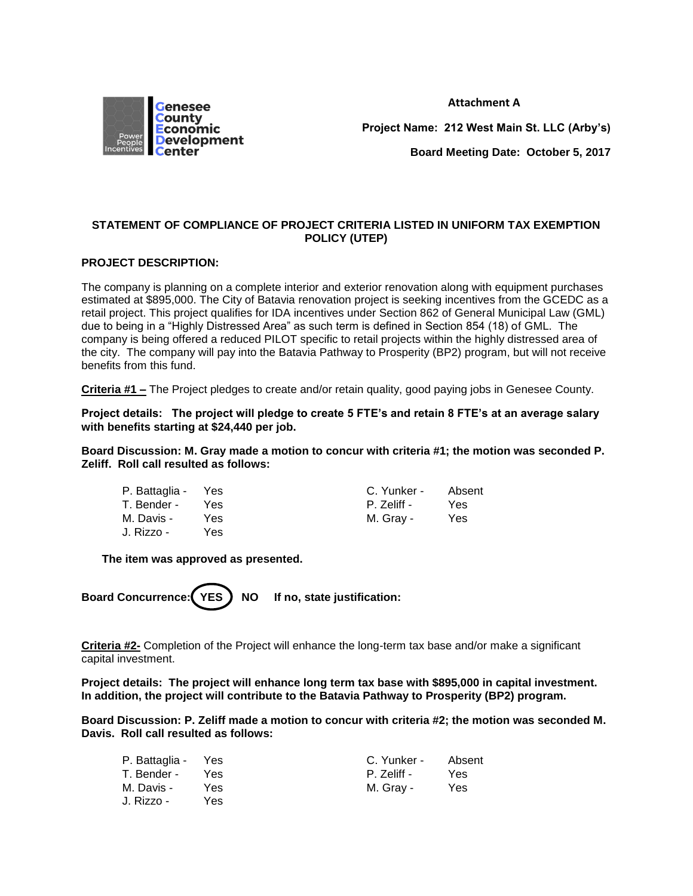

**Attachment A**

**Project Name: 212 West Main St. LLC (Arby's)**

**Board Meeting Date: October 5, 2017**

## **STATEMENT OF COMPLIANCE OF PROJECT CRITERIA LISTED IN UNIFORM TAX EXEMPTION POLICY (UTEP)**

## **PROJECT DESCRIPTION:**

The company is planning on a complete interior and exterior renovation along with equipment purchases estimated at \$895,000. The City of Batavia renovation project is seeking incentives from the GCEDC as a retail project. This project qualifies for IDA incentives under Section 862 of General Municipal Law (GML) due to being in a "Highly Distressed Area" as such term is defined in Section 854 (18) of GML. The company is being offered a reduced PILOT specific to retail projects within the highly distressed area of the city. The company will pay into the Batavia Pathway to Prosperity (BP2) program, but will not receive benefits from this fund.

**Criteria #1 –** The Project pledges to create and/or retain quality, good paying jobs in Genesee County.

**Project details: The project will pledge to create 5 FTE's and retain 8 FTE's at an average salary with benefits starting at \$24,440 per job.**

**Board Discussion: M. Gray made a motion to concur with criteria #1; the motion was seconded P. Zeliff. Roll call resulted as follows:**

| P. Battaglia - | Yes |
|----------------|-----|
| T. Bender -    | Yes |
| M. Davis -     | Yes |
| J. Rizzo -     | Yes |

P. Battage C. Yunker - Absent T. Bender - Yes P. Zeliff - Yes s M. Gray - Yes

**The item was approved as presented.**

Board Concurrence: (YES) NO If no, state justification:

**Criteria #2-** Completion of the Project will enhance the long-term tax base and/or make a significant capital investment.

**Project details: The project will enhance long term tax base with \$895,000 in capital investment. In addition, the project will contribute to the Batavia Pathway to Prosperity (BP2) program.**

**Board Discussion: P. Zeliff made a motion to concur with criteria #2; the motion was seconded M. Davis. Roll call resulted as follows:**

| P. Battaglia - Yes |      | C. Yunker - | Absent |
|--------------------|------|-------------|--------|
| T. Bender -        | Yes. | P. Zeliff - | Yes    |
| M. Davis -         | Yes. | M. Gray -   | Yes    |
| J. Rizzo -         | Yes  |             |        |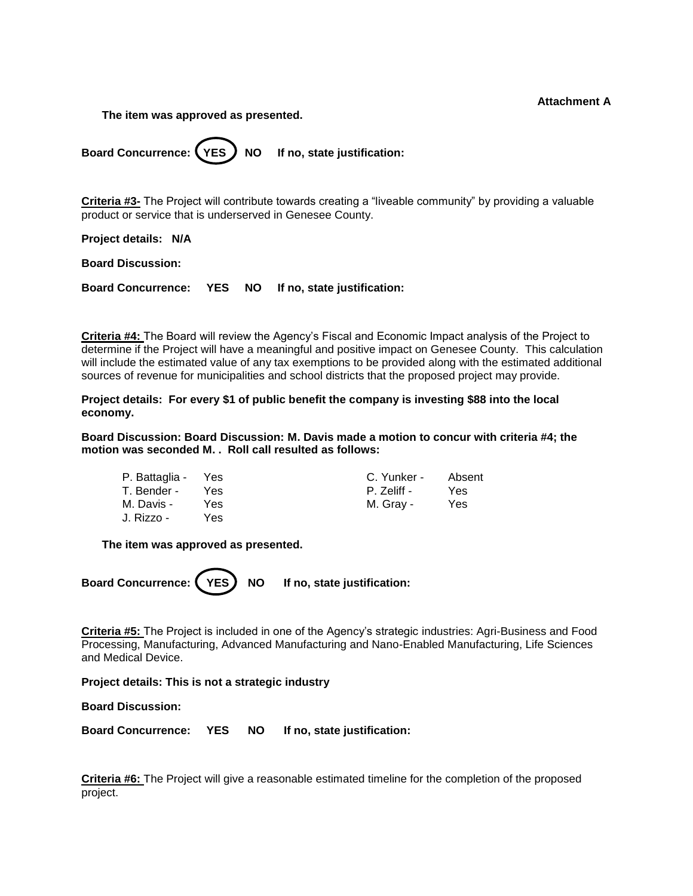## **Attachment A**

**The item was approved as presented.**

Board Concurrence: (YES ) NO If no, state justification:

**Criteria #3-** The Project will contribute towards creating a "liveable community" by providing a valuable product or service that is underserved in Genesee County.

**Project details: N/A**

**Board Discussion:**

**Board Concurrence: YES NO If no, state justification:**

**Criteria #4:** The Board will review the Agency's Fiscal and Economic Impact analysis of the Project to determine if the Project will have a meaningful and positive impact on Genesee County. This calculation will include the estimated value of any tax exemptions to be provided along with the estimated additional sources of revenue for municipalities and school districts that the proposed project may provide.

**Project details: For every \$1 of public benefit the company is investing \$88 into the local economy.**

**Board Discussion: Board Discussion: M. Davis made a motion to concur with criteria #4; the motion was seconded M. . Roll call resulted as follows:**

| P. Battaglia - Yes |            | C. Yunker - | Absent |
|--------------------|------------|-------------|--------|
| T. Bender -        | <b>Yes</b> | P. Zeliff - | Yes    |
| M. Davis -         | Yes.       | M. Grav -   | Yes    |
| J. Rizzo -         | Yes        |             |        |

**The item was approved as presented.**



**Criteria #5:** The Project is included in one of the Agency's strategic industries: Agri-Business and Food Processing, Manufacturing, Advanced Manufacturing and Nano-Enabled Manufacturing, Life Sciences and Medical Device.

**Project details: This is not a strategic industry**

**Board Discussion:**

**Board Concurrence: YES NO If no, state justification:** 

**Criteria #6:** The Project will give a reasonable estimated timeline for the completion of the proposed project.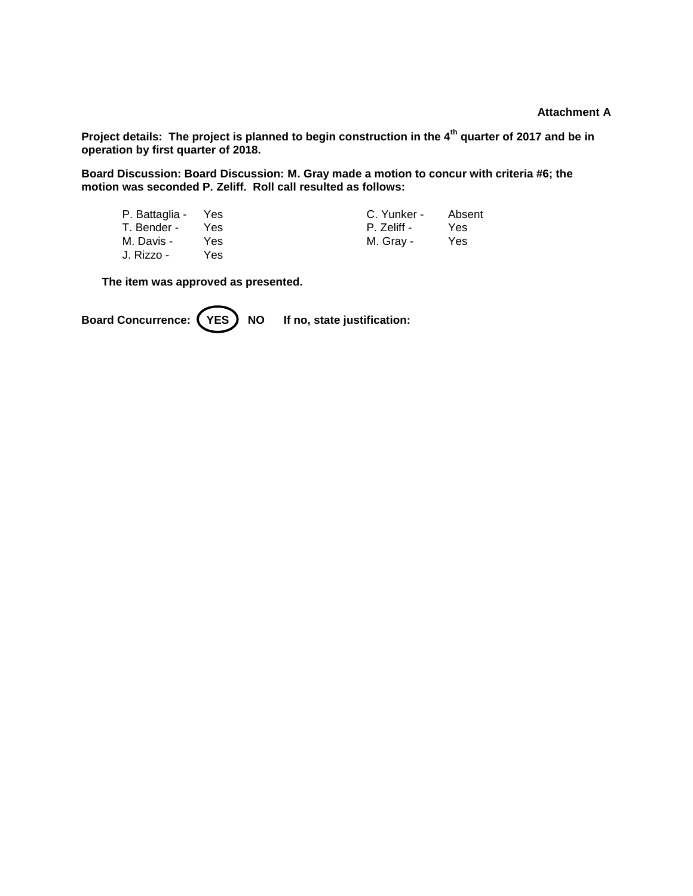**Project details: The project is planned to begin construction in the 4th quarter of 2017 and be in operation by first quarter of 2018.**

**Board Discussion: Board Discussion: M. Gray made a motion to concur with criteria #6; the motion was seconded P. Zeliff. Roll call resulted as follows:**

| P. Battaglia - Yes |      | C. Yunker - | Absent |
|--------------------|------|-------------|--------|
| T. Bender -        | Yes. | P. Zeliff - | Yes    |
| M. Davis -         | Yes. | M. Grav -   | Yes    |
| J. Rizzo -         | Yes  |             |        |

**The item was approved as presented.**

Board Concurrence: (YES) NO If no, state justification: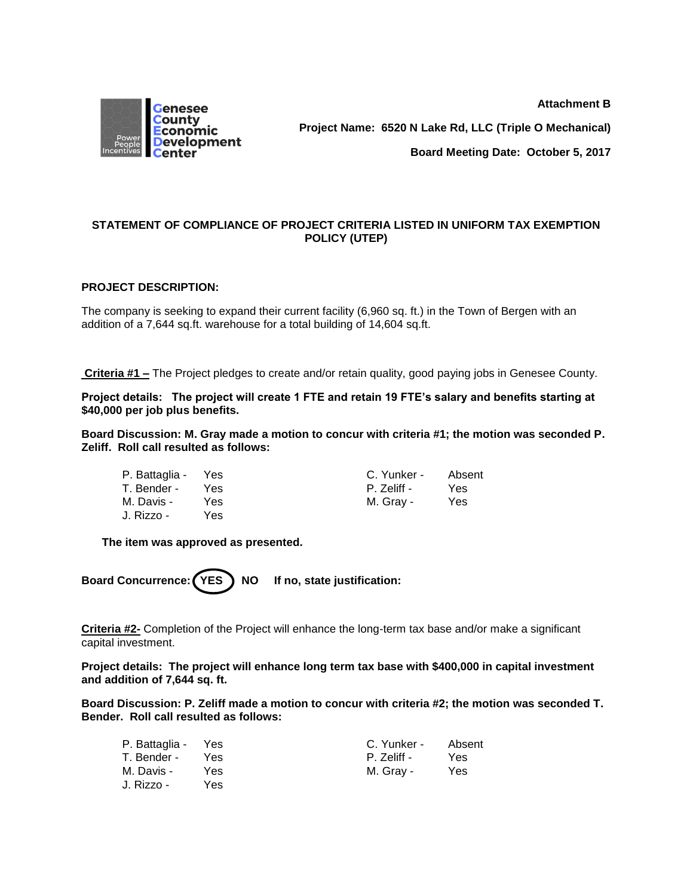**Attachment B**



**Project Name: 6520 N Lake Rd, LLC (Triple O Mechanical)**

**Board Meeting Date: October 5, 2017**

## **STATEMENT OF COMPLIANCE OF PROJECT CRITERIA LISTED IN UNIFORM TAX EXEMPTION POLICY (UTEP)**

### **PROJECT DESCRIPTION:**

The company is seeking to expand their current facility (6,960 sq. ft.) in the Town of Bergen with an addition of a 7,644 sq.ft. warehouse for a total building of 14,604 sq.ft.

**Criteria #1 –** The Project pledges to create and/or retain quality, good paying jobs in Genesee County.

**Project details: The project will create 1 FTE and retain 19 FTE's salary and benefits starting at \$40,000 per job plus benefits.**

**Board Discussion: M. Gray made a motion to concur with criteria #1; the motion was seconded P. Zeliff. Roll call resulted as follows:**

| P. Battaglia - Yes |      | C. Yunker - | Absent |
|--------------------|------|-------------|--------|
| T. Bender -        | Yes. | P. Zeliff - | Yes    |
| M. Davis -         | Yes. | M. Gray -   | Yes    |
| J. Rizzo -         | Yes  |             |        |

**The item was approved as presented.**



**Criteria #2-** Completion of the Project will enhance the long-term tax base and/or make a significant capital investment.

**Project details: The project will enhance long term tax base with \$400,000 in capital investment and addition of 7,644 sq. ft.**

**Board Discussion: P. Zeliff made a motion to concur with criteria #2; the motion was seconded T. Bender. Roll call resulted as follows:**

| P. Battaglia - Yes |      | C. Yunker - | Absent |
|--------------------|------|-------------|--------|
| T. Bender -        | Yes. | P. Zeliff - | Yes    |
| M. Davis -         | Yes. | M. Gray -   | Yes    |
| J. Rizzo -         | Yes  |             |        |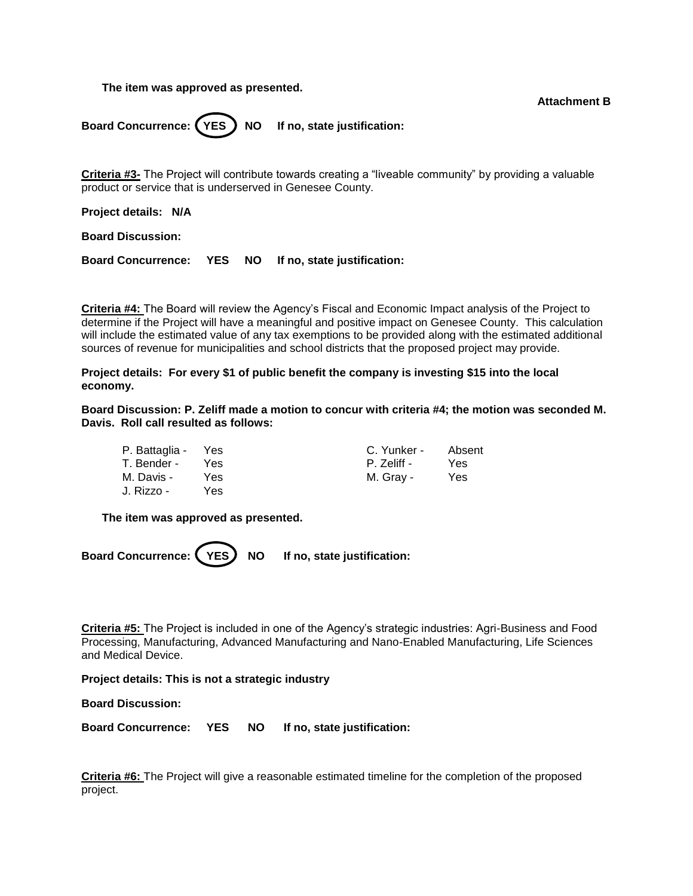**The item was approved as presented.**

**Attachment B**

Board Concurrence: (YES) NO If no, state justification:

**Criteria #3-** The Project will contribute towards creating a "liveable community" by providing a valuable product or service that is underserved in Genesee County.

**Project details: N/A**

**Board Discussion:**

**Board Concurrence: YES NO If no, state justification:**

**Criteria #4:** The Board will review the Agency's Fiscal and Economic Impact analysis of the Project to determine if the Project will have a meaningful and positive impact on Genesee County. This calculation will include the estimated value of any tax exemptions to be provided along with the estimated additional sources of revenue for municipalities and school districts that the proposed project may provide.

**Project details: For every \$1 of public benefit the company is investing \$15 into the local economy.**

**Board Discussion: P. Zeliff made a motion to concur with criteria #4; the motion was seconded M. Davis. Roll call resulted as follows:**

| P. Battaglia - | Yes |
|----------------|-----|
| T. Bender -    | Yes |
| M. Davis -     | Yes |
| J. Rizzo -     | Yes |

**P. Battage C. Yunker - Absent** T. Bender - Yes P. Zeliff - Yes s M. Gray - Yes

**The item was approved as presented.**

Board Concurrence: (YES) NO If no, state justification:

**Criteria #5:** The Project is included in one of the Agency's strategic industries: Agri-Business and Food Processing, Manufacturing, Advanced Manufacturing and Nano-Enabled Manufacturing, Life Sciences and Medical Device.

**Project details: This is not a strategic industry**

**Board Discussion:**

**Board Concurrence: YES NO If no, state justification:** 

**Criteria #6:** The Project will give a reasonable estimated timeline for the completion of the proposed project.